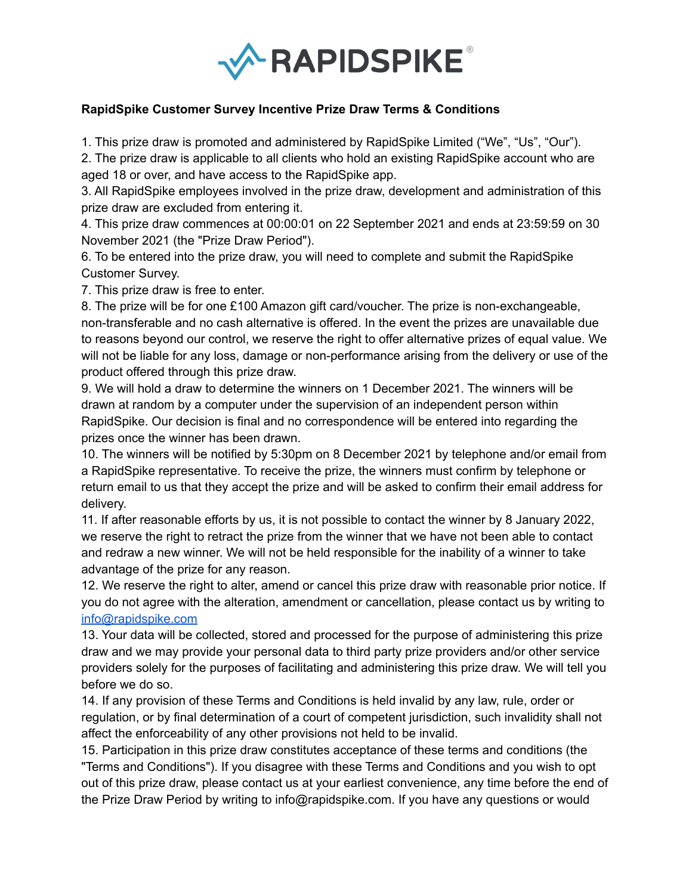

## **RapidSpike Customer Survey Incentive Prize Draw Terms & Conditions**

1. This prize draw is promoted and administered by RapidSpike Limited ("We", "Us", "Our").

2. The prize draw is applicable to all clients who hold an existing RapidSpike account who are aged 18 or over, and have access to the RapidSpike app.

3. All RapidSpike employees involved in the prize draw, development and administration of this prize draw are excluded from entering it.

4. This prize draw commences at 00:00:01 on 22 September 2021 and ends at 23:59:59 on 30 November 2021 (the "Prize Draw Period").

6. To be entered into the prize draw, you will need to complete and submit the RapidSpike Customer Survey.

7. This prize draw is free to enter.

8. The prize will be for one £100 Amazon gift card/voucher. The prize is non-exchangeable, non-transferable and no cash alternative is offered. In the event the prizes are unavailable due to reasons beyond our control, we reserve the right to offer alternative prizes of equal value. We will not be liable for any loss, damage or non-performance arising from the delivery or use of the product offered through this prize draw.

9. We will hold a draw to determine the winners on 1 December 2021. The winners will be drawn at random by a computer under the supervision of an independent person within RapidSpike. Our decision is final and no correspondence will be entered into regarding the prizes once the winner has been drawn.

10. The winners will be notified by 5:30pm on 8 December 2021 by telephone and/or email from a RapidSpike representative. To receive the prize, the winners must confirm by telephone or return email to us that they accept the prize and will be asked to confirm their email address for delivery.

11. If after reasonable efforts by us, it is not possible to contact the winner by 8 January 2022, we reserve the right to retract the prize from the winner that we have not been able to contact and redraw a new winner. We will not be held responsible for the inability of a winner to take advantage of the prize for any reason.

12. We reserve the right to alter, amend or cancel this prize draw with reasonable prior notice. If you do not agree with the alteration, amendment or cancellation, please contact us by writing to [info@rapidspike.com](mailto:info@rapidspike.com)

13. Your data will be collected, stored and processed for the purpose of administering this prize draw and we may provide your personal data to third party prize providers and/or other service providers solely for the purposes of facilitating and administering this prize draw. We will tell you before we do so.

14. If any provision of these Terms and Conditions is held invalid by any law, rule, order or regulation, or by final determination of a court of competent jurisdiction, such invalidity shall not affect the enforceability of any other provisions not held to be invalid.

15. Participation in this prize draw constitutes acceptance of these terms and conditions (the "Terms and Conditions"). If you disagree with these Terms and Conditions and you wish to opt out of this prize draw, please contact us at your earliest convenience, any time before the end of the Prize Draw Period by writing to info@rapidspike.com. If you have any questions or would